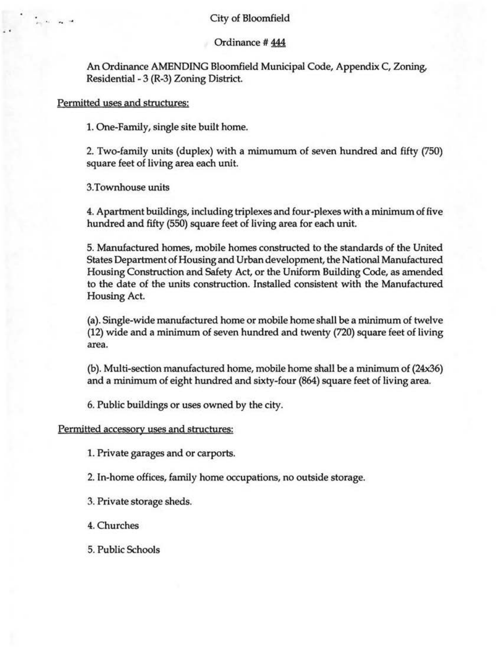## City of Bloomfield

#### Ordinance # 444

An Ordinance AMENDING Bloomfield Municipal Code, Appendix C, Zoning, Residential - 3 (R-3) Zoning District.

#### Permitted uses and structures:

1. One-Family, single site built home.

2. Two-family units (duplex) with a mimumum of seven hundred and fifty (750) square feet of living area each unit.

3.Townhouse units

4. Apartment buildings, including triplexes and four-plexes with a minimum of five hundred and fifty (550) square feet of living area for each unit.

5. Manufactured homes, mobile homes constructed to the standards of the United States Department of Housing and Urban development, the National Manufactured Housing Construction and Safety Act, or the Uniform Building Code, as amended to the date of the units construction. Installed consistent with the Manufactured Housing Act.

(a). Single-wide manufactured home or mobile home shall be a minimum of twelve (12) wide and a minimum of seven hundred and twenty (720) square feet of living area.

(b). Multi-section manufactured home, mobile home shall be a minimum of (24x36) and a minimum of eight hundred and sixty-four (864) square feet of living area.

6. Public buildings or uses owned by the city.

#### Permitted accessory uses and structures:

1. Private garages and or carports.

2. In-home offices, family home occupations, no outside storage.

3. Private storage sheds.

4.Churches

5. Public Schools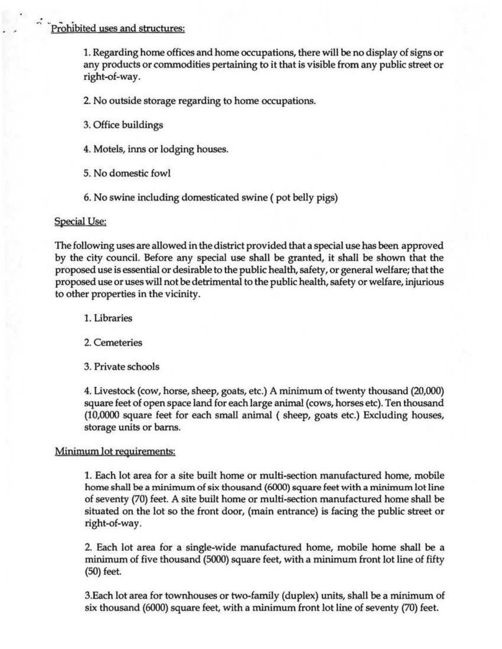# Prohibited uses and structures:

..;

1. Regarding home offices and home occupations, there will be no display of signs or any products or commodities pertaining to it that is visible from any public street or right-of-way.

2. No outside storage regarding to home occupations.

3. Office buildings

4. Motels, inns or lodging houses.

5. No domestic fowl

6. No swine including domesticated swine (pot belly pigs)

### Special Use:

The following uses are allowed in the district provided that a special use has been approved by the city council. Before any special use shall be granted, it shall be shown that the proposed use is essential or desirable to the public health, safety, or general welfare; that the proposed use or uses will not be detrimental to the public health, safety or welfare, injurious to other properties in the vicinity.

1. Libraries

2. Cemeteries

3. Private schools

4. Livestock (cow, horse, sheep, goats, etc.) A minimum of twenty thousand (20,000) square feet of open space land for each large animal (cows, horses etc). Ten thousand (10,0000 square feet for each small animal (sheep, goats etc.) Excluding houses, storage units or barns.

# Minimum lot requirements:

1. Each lot area for a site built home or multi-section manufactured home, mobile home shall be a minimum of six thousand (6000) square feet with a minimum lot line of seventy (70) feet. A site built home or multi-section manufactured home shall be situated on the lot so the front door, (main entrance) is facing the public street or right-of-way.

2. Each lot area for a single-wide manufactured home, mobile home shall be a minimum of five thousand (5000) square feet, with a minimum front lot line of fifty (50) feet.

3.Each lot area for townhouses or two-family (duplex) units, shall be a minimum of six thousand (6000) square feet, with a minimum front lot line of seventy (70) feet.